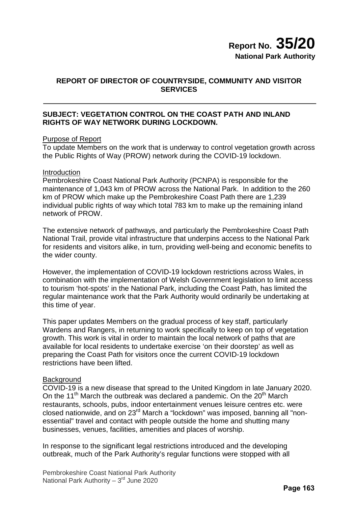# **REPORT OF DIRECTOR OF COUNTRYSIDE, COMMUNITY AND VISITOR SERVICES**

# **SUBJECT: VEGETATION CONTROL ON THE COAST PATH AND INLAND RIGHTS OF WAY NETWORK DURING LOCKDOWN.**

### Purpose of Report

To update Members on the work that is underway to control vegetation growth across the Public Rights of Way (PROW) network during the COVID-19 lockdown.

#### Introduction

Pembrokeshire Coast National Park Authority (PCNPA) is responsible for the maintenance of 1,043 km of PROW across the National Park. In addition to the 260 km of PROW which make up the Pembrokeshire Coast Path there are 1,239 individual public rights of way which total 783 km to make up the remaining inland network of PROW.

The extensive network of pathways, and particularly the Pembrokeshire Coast Path National Trail, provide vital infrastructure that underpins access to the National Park for residents and visitors alike, in turn, providing well-being and economic benefits to the wider county.

However, the implementation of COVID-19 lockdown restrictions across Wales, in combination with the implementation of Welsh Government legislation to limit access to tourism 'hot-spots' in the National Park, including the Coast Path, has limited the regular maintenance work that the Park Authority would ordinarily be undertaking at this time of year.

This paper updates Members on the gradual process of key staff, particularly Wardens and Rangers, in returning to work specifically to keep on top of vegetation growth. This work is vital in order to maintain the local network of paths that are available for local residents to undertake exercise 'on their doorstep' as well as preparing the Coast Path for visitors once the current COVID-19 lockdown restrictions have been lifted.

### **Background**

COVID-19 is a new disease that spread to the United Kingdom in late January 2020. On the 11<sup>th</sup> March the outbreak was declared a pandemic. On the  $20<sup>th</sup>$  March restaurants, schools, pubs, indoor entertainment venues leisure centres etc. were closed nationwide, and on 23rd March a "lockdown" was imposed, banning all "nonessential" travel and contact with people outside the home and shutting many businesses, venues, facilities, amenities and places of worship.

In response to the significant legal restrictions introduced and the developing outbreak, much of the Park Authority's regular functions were stopped with all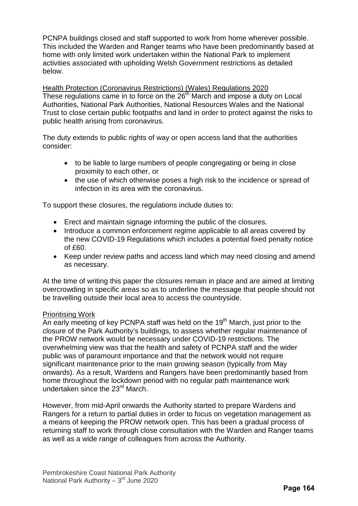PCNPA buildings closed and staff supported to work from home wherever possible. This included the Warden and Ranger teams who have been predominantly based at home with only limited work undertaken within the National Park to implement activities associated with upholding Welsh Government restrictions as detailed below.

Health Protection (Coronavirus Restrictions) (Wales) Regulations 2020 These regulations came in to force on the  $26<sup>th</sup>$  March and impose a duty on Local Authorities, National Park Authorities, National Resources Wales and the National Trust to close certain public footpaths and land in order to protect against the risks to public health arising from coronavirus.

The duty extends to public rights of way or open access land that the authorities consider:

- to be liable to large numbers of people congregating or being in close proximity to each other, or
- the use of which otherwise poses a high risk to the incidence or spread of infection in its area with the coronavirus.

To support these closures, the regulations include duties to:

- Erect and maintain signage informing the public of the closures.
- Introduce a common enforcement regime applicable to all areas covered by the new COVID-19 Regulations which includes a potential fixed penalty notice  $of$  $f60$ .
- Keep under review paths and access land which may need closing and amend as necessary.

At the time of writing this paper the closures remain in place and are aimed at limiting overcrowding in specific areas so as to underline the message that people should not be travelling outside their local area to access the countryside.

### Prioritising Work

An early meeting of key PCNPA staff was held on the  $19<sup>th</sup>$  March, just prior to the closure of the Park Authority's buildings, to assess whether regular maintenance of the PROW network would be necessary under COVID-19 restrictions. The overwhelming view was that the health and safety of PCNPA staff and the wider public was of paramount importance and that the network would not require significant maintenance prior to the main growing season (typically from May onwards). As a result, Wardens and Rangers have been predominantly based from home throughout the lockdown period with no regular path maintenance work undertaken since the 23<sup>rd</sup> March.

However, from mid-April onwards the Authority started to prepare Wardens and Rangers for a return to partial duties in order to focus on vegetation management as a means of keeping the PROW network open. This has been a gradual process of returning staff to work through close consultation with the Warden and Ranger teams as well as a wide range of colleagues from across the Authority.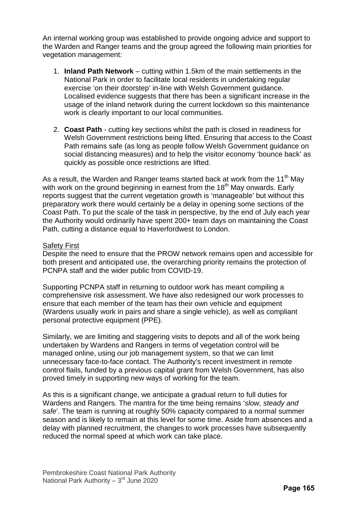An internal working group was established to provide ongoing advice and support to the Warden and Ranger teams and the group agreed the following main priorities for vegetation management:

- 1. **Inland Path Network** cutting within 1.5km of the main settlements in the National Park in order to facilitate local residents in undertaking regular exercise 'on their doorstep' in-line with Welsh Government guidance. Localised evidence suggests that there has been a significant increase in the usage of the inland network during the current lockdown so this maintenance work is clearly important to our local communities.
- 2. **Coast Path** cutting key sections whilst the path is closed in readiness for Welsh Government restrictions being lifted. Ensuring that access to the Coast Path remains safe (as long as people follow Welsh Government guidance on social distancing measures) and to help the visitor economy 'bounce back' as quickly as possible once restrictions are lifted.

As a result, the Warden and Ranger teams started back at work from the 11<sup>th</sup> May with work on the ground beginning in earnest from the 18<sup>th</sup> May onwards. Early reports suggest that the current vegetation growth is 'manageable' but without this preparatory work there would certainly be a delay in opening some sections of the Coast Path. To put the scale of the task in perspective, by the end of July each year the Authority would ordinarily have spent 200+ team days on maintaining the Coast Path, cutting a distance equal to Haverfordwest to London.

### Safety First

Despite the need to ensure that the PROW network remains open and accessible for both present and anticipated use, the overarching priority remains the protection of PCNPA staff and the wider public from COVID-19.

Supporting PCNPA staff in returning to outdoor work has meant compiling a comprehensive risk assessment. We have also redesigned our work processes to ensure that each member of the team has their own vehicle and equipment (Wardens usually work in pairs and share a single vehicle), as well as compliant personal protective equipment (PPE).

Similarly, we are limiting and staggering visits to depots and all of the work being undertaken by Wardens and Rangers in terms of vegetation control will be managed online, using our job management system, so that we can limit unnecessary face-to-face contact. The Authority's recent investment in remote control flails, funded by a previous capital grant from Welsh Government, has also proved timely in supporting new ways of working for the team.

As this is a significant change, we anticipate a gradual return to full duties for Wardens and Rangers. The mantra for the time being remains '*slow, steady and safe*'. The team is running at roughly 50% capacity compared to a normal summer season and is likely to remain at this level for some time. Aside from absences and a delay with planned recruitment, the changes to work processes have subsequently reduced the normal speed at which work can take place.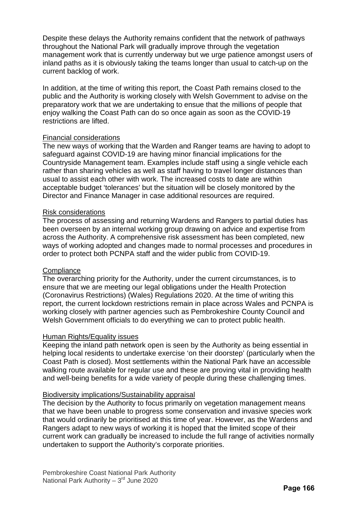Despite these delays the Authority remains confident that the network of pathways throughout the National Park will gradually improve through the vegetation management work that is currently underway but we urge patience amongst users of inland paths as it is obviously taking the teams longer than usual to catch-up on the current backlog of work.

In addition, at the time of writing this report, the Coast Path remains closed to the public and the Authority is working closely with Welsh Government to advise on the preparatory work that we are undertaking to ensue that the millions of people that enjoy walking the Coast Path can do so once again as soon as the COVID-19 restrictions are lifted.

#### Financial considerations

The new ways of working that the Warden and Ranger teams are having to adopt to safeguard against COVID-19 are having minor financial implications for the Countryside Management team. Examples include staff using a single vehicle each rather than sharing vehicles as well as staff having to travel longer distances than usual to assist each other with work. The increased costs to date are within acceptable budget 'tolerances' but the situation will be closely monitored by the Director and Finance Manager in case additional resources are required.

#### Risk considerations

The process of assessing and returning Wardens and Rangers to partial duties has been overseen by an internal working group drawing on advice and expertise from across the Authority. A comprehensive risk assessment has been completed, new ways of working adopted and changes made to normal processes and procedures in order to protect both PCNPA staff and the wider public from COVID-19.

#### **Compliance**

The overarching priority for the Authority, under the current circumstances, is to ensure that we are meeting our legal obligations under the Health Protection (Coronavirus Restrictions) (Wales) Regulations 2020. At the time of writing this report, the current lockdown restrictions remain in place across Wales and PCNPA is working closely with partner agencies such as Pembrokeshire County Council and Welsh Government officials to do everything we can to protect public health.

#### Human Rights/Equality issues

Keeping the inland path network open is seen by the Authority as being essential in helping local residents to undertake exercise 'on their doorstep' (particularly when the Coast Path is closed). Most settlements within the National Park have an accessible walking route available for regular use and these are proving vital in providing health and well-being benefits for a wide variety of people during these challenging times.

#### Biodiversity implications/Sustainability appraisal

The decision by the Authority to focus primarily on vegetation management means that we have been unable to progress some conservation and invasive species work that would ordinarily be prioritised at this time of year. However, as the Wardens and Rangers adapt to new ways of working it is hoped that the limited scope of their current work can gradually be increased to include the full range of activities normally undertaken to support the Authority's corporate priorities.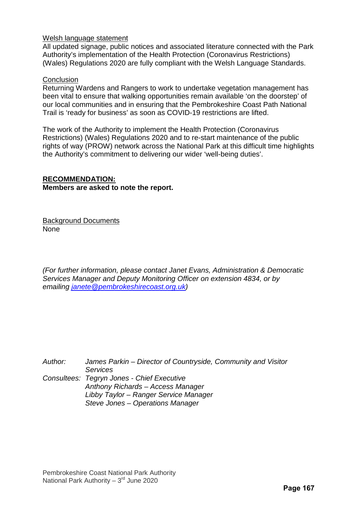### Welsh language statement

All updated signage, public notices and associated literature connected with the Park Authority's implementation of the Health Protection (Coronavirus Restrictions) (Wales) Regulations 2020 are fully compliant with the Welsh Language Standards.

#### **Conclusion**

Returning Wardens and Rangers to work to undertake vegetation management has been vital to ensure that walking opportunities remain available 'on the doorstep' of our local communities and in ensuring that the Pembrokeshire Coast Path National Trail is 'ready for business' as soon as COVID-19 restrictions are lifted.

The work of the Authority to implement the Health Protection (Coronavirus Restrictions) (Wales) Regulations 2020 and to re-start maintenance of the public rights of way (PROW) network across the National Park at this difficult time highlights the Authority's commitment to delivering our wider 'well-being duties'.

### **RECOMMENDATION:**

#### **Members are asked to note the report.**

Background Documents None

*(For further information, please contact Janet Evans, Administration & Democratic Services Manager and Deputy Monitoring Officer on extension 4834, or by emailing [janete@pembrokeshirecoast.org.uk\)](mailto:janete@pembrokeshirecoast.org.uk)* 

*Author: James Parkin – Director of Countryside, Community and Visitor Services Consultees: Tegryn Jones - Chief Executive Anthony Richards – Access Manager Libby Taylor – Ranger Service Manager Steve Jones – Operations Manager*